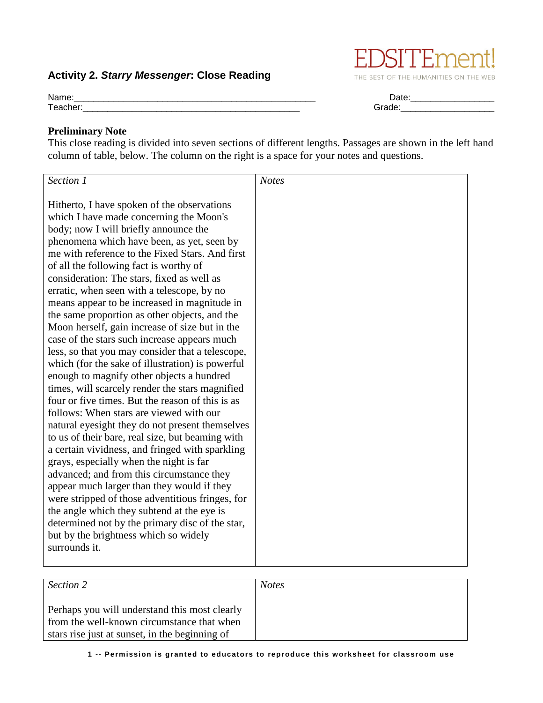## **Activity 2.** *Starry Messenger***: Close Reading**

from the well-known circumstance that when stars rise just at sunset, in the beginning of

## **Preliminary Note**

This close reading is divided into seven sections of different lengths. Passages are shown in the left hand column of table, below. The column on the right is a space for your notes and questions.

| Section 1                                        | <b>Notes</b> |
|--------------------------------------------------|--------------|
|                                                  |              |
| Hitherto, I have spoken of the observations      |              |
| which I have made concerning the Moon's          |              |
| body; now I will briefly announce the            |              |
| phenomena which have been, as yet, seen by       |              |
| me with reference to the Fixed Stars. And first  |              |
| of all the following fact is worthy of           |              |
| consideration: The stars, fixed as well as       |              |
| erratic, when seen with a telescope, by no       |              |
| means appear to be increased in magnitude in     |              |
| the same proportion as other objects, and the    |              |
| Moon herself, gain increase of size but in the   |              |
| case of the stars such increase appears much     |              |
| less, so that you may consider that a telescope, |              |
| which (for the sake of illustration) is powerful |              |
| enough to magnify other objects a hundred        |              |
| times, will scarcely render the stars magnified  |              |
| four or five times. But the reason of this is as |              |
| follows: When stars are viewed with our          |              |
|                                                  |              |
| natural eyesight they do not present themselves  |              |
| to us of their bare, real size, but beaming with |              |
| a certain vividness, and fringed with sparkling  |              |
| grays, especially when the night is far          |              |
| advanced; and from this circumstance they        |              |
| appear much larger than they would if they       |              |
| were stripped of those adventitious fringes, for |              |
| the angle which they subtend at the eye is       |              |
| determined not by the primary disc of the star,  |              |
| but by the brightness which so widely            |              |
| surrounds it.                                    |              |
| Section $\overline{2}$                           | <b>Notes</b> |
|                                                  |              |
| Perhaps you will understand this most clearly    |              |



Name:\_\_\_\_\_\_\_\_\_\_\_\_\_\_\_\_\_\_\_\_\_\_\_\_\_\_\_\_\_\_\_\_\_\_\_\_\_\_\_\_\_\_\_\_\_\_\_\_\_ Date:\_\_\_\_\_\_\_\_\_\_\_\_\_\_\_\_\_ Teacher:\_\_\_\_\_\_\_\_\_\_\_\_\_\_\_\_\_\_\_\_\_\_\_\_\_\_\_\_\_\_\_\_\_\_\_\_\_\_\_\_\_\_\_\_ Grade:\_\_\_\_\_\_\_\_\_\_\_\_\_\_\_\_\_\_\_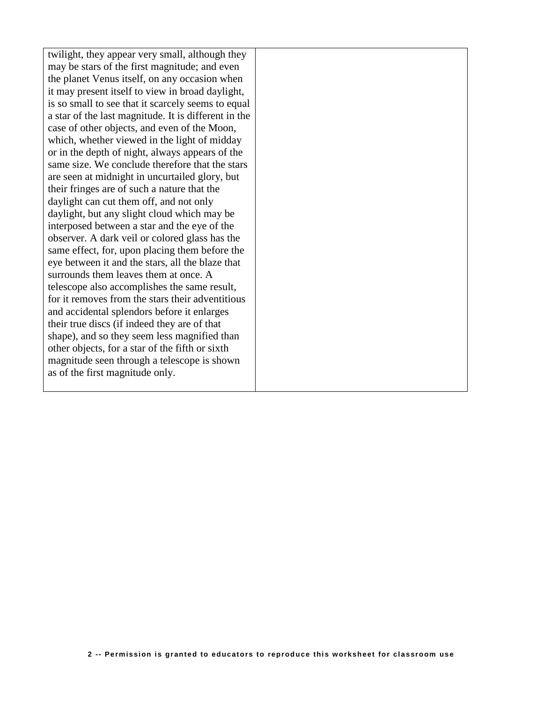twilight, they appear very small, although they may be stars of the first magnitude; and even the planet Venus itself, on any occasion when it may present itself to view in broad daylight, is so small to see that it scarcely seems to equal a star of the last magnitude. It is different in the case of other objects, and even of the Moon, which, whether viewed in the light of midday or in the depth of night, always appears of the same size. We conclude therefore that the stars are seen at midnight in uncurtailed glory, but their fringes are of such a nature that the daylight can cut them off, and not only daylight, but any slight cloud which may be interposed between a star and the eye of the observer. A dark veil or colored glass has the same effect, for, upon placing them before the eye between it and the stars, all the blaze that surrounds them leaves them at once. A telescope also accomplishes the same result, for it removes from the stars their adventitious and accidental splendors before it enlarges their true discs (if indeed they are of that shape), and so they seem less magnified than other objects, for a star of the fifth or sixth magnitude seen through a telescope is shown as of the first magnitude only.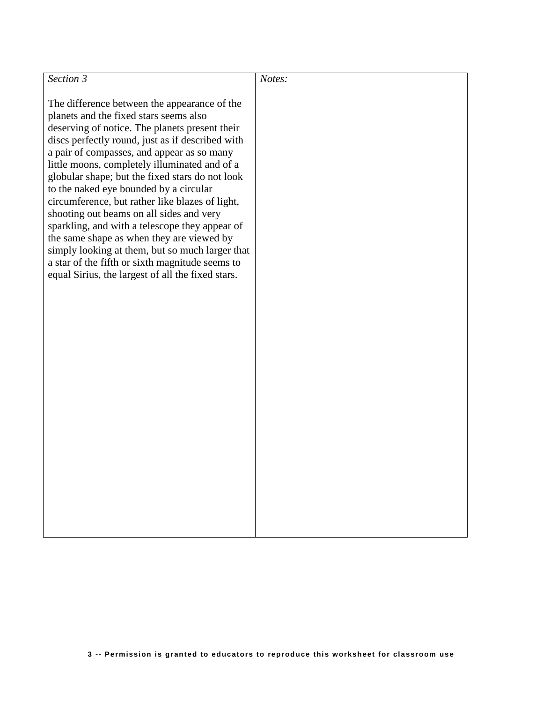| Section 3                                                                                                                                                                                                                                                                                                                                                                                                                                                                                                                                                                                                                                                                                                                                         | Notes: |
|---------------------------------------------------------------------------------------------------------------------------------------------------------------------------------------------------------------------------------------------------------------------------------------------------------------------------------------------------------------------------------------------------------------------------------------------------------------------------------------------------------------------------------------------------------------------------------------------------------------------------------------------------------------------------------------------------------------------------------------------------|--------|
| The difference between the appearance of the<br>planets and the fixed stars seems also<br>deserving of notice. The planets present their<br>discs perfectly round, just as if described with<br>a pair of compasses, and appear as so many<br>little moons, completely illuminated and of a<br>globular shape; but the fixed stars do not look<br>to the naked eye bounded by a circular<br>circumference, but rather like blazes of light,<br>shooting out beams on all sides and very<br>sparkling, and with a telescope they appear of<br>the same shape as when they are viewed by<br>simply looking at them, but so much larger that<br>a star of the fifth or sixth magnitude seems to<br>equal Sirius, the largest of all the fixed stars. |        |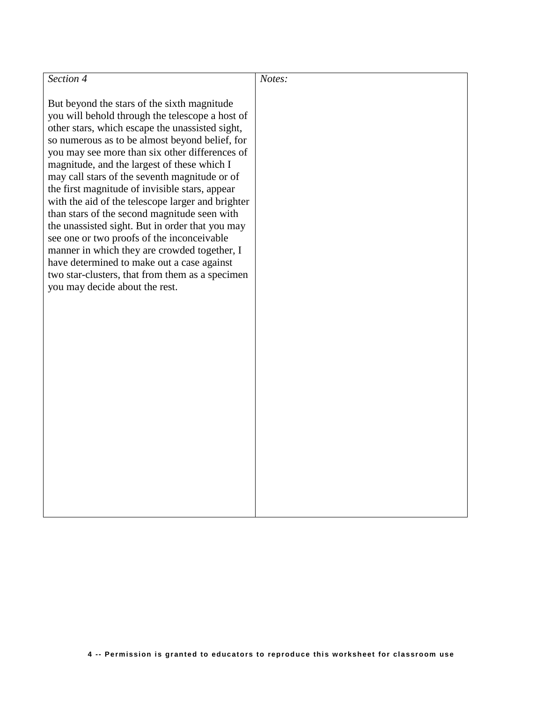| Section 4                                                                                                                                                                                                                                                                                                                                                                                                                                                                                                                                                                                                                                                                                                                                                                                        | Notes: |
|--------------------------------------------------------------------------------------------------------------------------------------------------------------------------------------------------------------------------------------------------------------------------------------------------------------------------------------------------------------------------------------------------------------------------------------------------------------------------------------------------------------------------------------------------------------------------------------------------------------------------------------------------------------------------------------------------------------------------------------------------------------------------------------------------|--------|
|                                                                                                                                                                                                                                                                                                                                                                                                                                                                                                                                                                                                                                                                                                                                                                                                  |        |
| But beyond the stars of the sixth magnitude<br>you will behold through the telescope a host of<br>other stars, which escape the unassisted sight,<br>so numerous as to be almost beyond belief, for<br>you may see more than six other differences of<br>magnitude, and the largest of these which I<br>may call stars of the seventh magnitude or of<br>the first magnitude of invisible stars, appear<br>with the aid of the telescope larger and brighter<br>than stars of the second magnitude seen with<br>the unassisted sight. But in order that you may<br>see one or two proofs of the inconceivable<br>manner in which they are crowded together, I<br>have determined to make out a case against<br>two star-clusters, that from them as a specimen<br>you may decide about the rest. |        |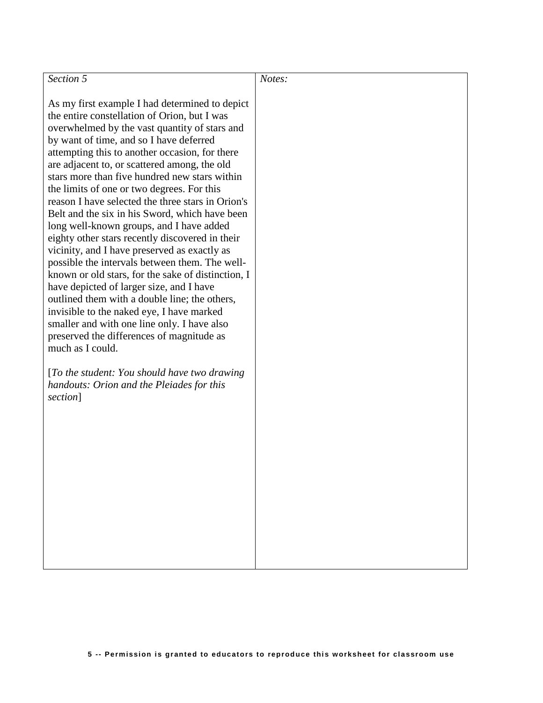| Section 5                                                                                                                                                                                                                                                                                                                                                                                                                                                                                                                                                                                                                                                                                                                                                                                                                                                                                                                                                                                                           | Notes: |
|---------------------------------------------------------------------------------------------------------------------------------------------------------------------------------------------------------------------------------------------------------------------------------------------------------------------------------------------------------------------------------------------------------------------------------------------------------------------------------------------------------------------------------------------------------------------------------------------------------------------------------------------------------------------------------------------------------------------------------------------------------------------------------------------------------------------------------------------------------------------------------------------------------------------------------------------------------------------------------------------------------------------|--------|
| As my first example I had determined to depict<br>the entire constellation of Orion, but I was<br>overwhelmed by the vast quantity of stars and<br>by want of time, and so I have deferred<br>attempting this to another occasion, for there<br>are adjacent to, or scattered among, the old<br>stars more than five hundred new stars within<br>the limits of one or two degrees. For this<br>reason I have selected the three stars in Orion's<br>Belt and the six in his Sword, which have been<br>long well-known groups, and I have added<br>eighty other stars recently discovered in their<br>vicinity, and I have preserved as exactly as<br>possible the intervals between them. The well-<br>known or old stars, for the sake of distinction, I<br>have depicted of larger size, and I have<br>outlined them with a double line; the others,<br>invisible to the naked eye, I have marked<br>smaller and with one line only. I have also<br>preserved the differences of magnitude as<br>much as I could. |        |
| [To the student: You should have two drawing]<br>handouts: Orion and the Pleiades for this<br>section]                                                                                                                                                                                                                                                                                                                                                                                                                                                                                                                                                                                                                                                                                                                                                                                                                                                                                                              |        |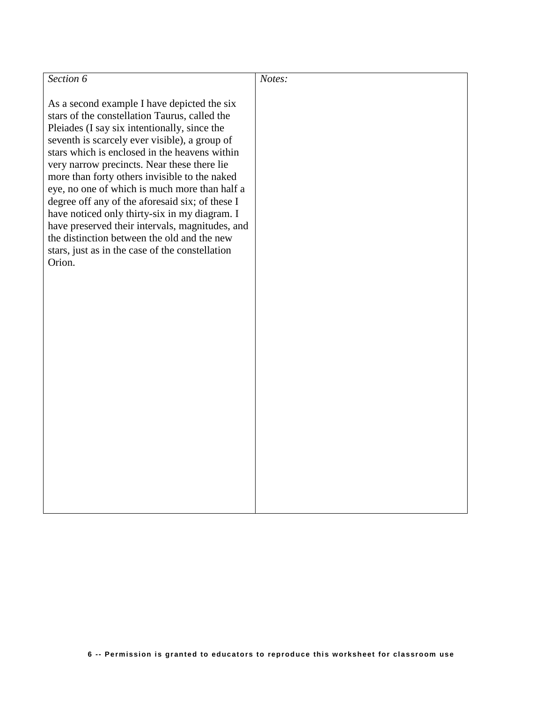| Section 6                                                                                                                                                                                                                                                                                                                                                                                                                                                                                                                                                                                                                                                          | Notes: |
|--------------------------------------------------------------------------------------------------------------------------------------------------------------------------------------------------------------------------------------------------------------------------------------------------------------------------------------------------------------------------------------------------------------------------------------------------------------------------------------------------------------------------------------------------------------------------------------------------------------------------------------------------------------------|--------|
| As a second example I have depicted the six<br>stars of the constellation Taurus, called the<br>Pleiades (I say six intentionally, since the<br>seventh is scarcely ever visible), a group of<br>stars which is enclosed in the heavens within<br>very narrow precincts. Near these there lie<br>more than forty others invisible to the naked<br>eye, no one of which is much more than half a<br>degree off any of the aforesaid six; of these I<br>have noticed only thirty-six in my diagram. I<br>have preserved their intervals, magnitudes, and<br>the distinction between the old and the new<br>stars, just as in the case of the constellation<br>Orion. |        |